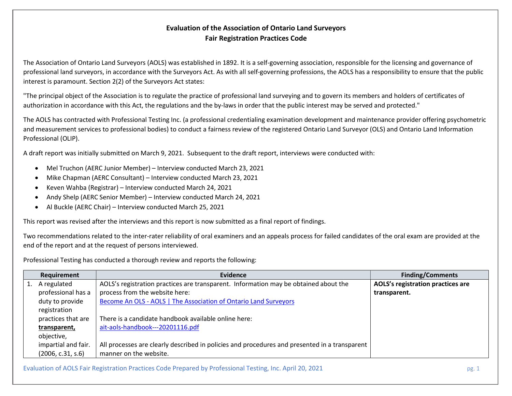## Evaluation of the Association of Ontario Land Surveyors Fair Registration Practices Code

The Association of Ontario Land Surveyors (AOLS) was established in 1892. It is a self-governing association, responsible for the licensing and governance of professional land surveyors, in accordance with the Surveyors Act. As with all self-governing professions, the AOLS has a responsibility to ensure that the public interest is paramount. Section 2(2) of the Surveyors Act states:

"The principal object of the Association is to regulate the practice of professional land surveying and to govern its members and holders of certificates of authorization in accordance with this Act, the regulations and the by-laws in order that the public interest may be served and protected."

The AOLS has contracted with Professional Testing Inc. (a professional credentialing examination development and maintenance provider offering psychometric and measurement services to professional bodies) to conduct a fairness review of the registered Ontario Land Surveyor (OLS) and Ontario Land Information Professional (OLIP).

A draft report was initially submitted on March 9, 2021. Subsequent to the draft report, interviews were conducted with:

- Mel Truchon (AERC Junior Member) Interview conducted March 23, 2021
- Mike Chapman (AERC Consultant) Interview conducted March 23, 2021
- Keven Wahba (Registrar) Interview conducted March 24, 2021
- Andy Shelp (AERC Senior Member) Interview conducted March 24, 2021
- Al Buckle (AERC Chair) Interview conducted March 25, 2021

This report was revised after the interviews and this report is now submitted as a final report of findings.

Two recommendations related to the inter-rater reliability of oral examiners and an appeals process for failed candidates of the oral exam are provided at the end of the report and at the request of persons interviewed.

Professional Testing has conducted a thorough review and reports the following:

| Requirement         | Evidence                                                                                      | <b>Finding/Comments</b>           |
|---------------------|-----------------------------------------------------------------------------------------------|-----------------------------------|
| A regulated         | AOLS's registration practices are transparent. Information may be obtained about the          | AOLS's registration practices are |
| professional has a  | process from the website here:                                                                | transparent.                      |
| duty to provide     | Become An OLS - AOLS   The Association of Ontario Land Surveyors                              |                                   |
| registration        |                                                                                               |                                   |
| practices that are  | There is a candidate handbook available online here:                                          |                                   |
| transparent,        | ait-aols-handbook---20201116.pdf                                                              |                                   |
| objective,          |                                                                                               |                                   |
| impartial and fair. | All processes are clearly described in policies and procedures and presented in a transparent |                                   |
| (2006, c.31, s.6)   | manner on the website.                                                                        |                                   |

Evaluation of AOLS Fair Registration Practices Code Prepared by Professional Testing, Inc. April 20, 2021 pg. 1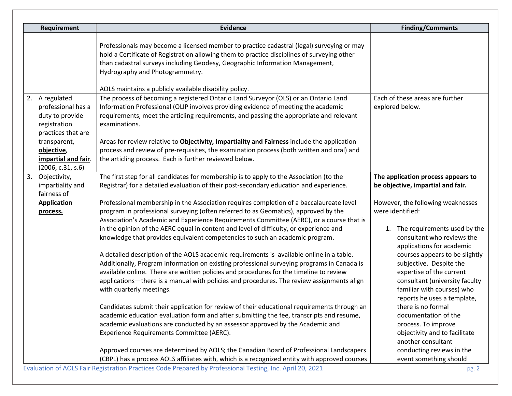| Requirement                                                                                   | <b>Evidence</b>                                                                                                                                                                                                                                                                                             | <b>Finding/Comments</b>                                                                                                 |
|-----------------------------------------------------------------------------------------------|-------------------------------------------------------------------------------------------------------------------------------------------------------------------------------------------------------------------------------------------------------------------------------------------------------------|-------------------------------------------------------------------------------------------------------------------------|
|                                                                                               | Professionals may become a licensed member to practice cadastral (legal) surveying or may<br>hold a Certificate of Registration allowing them to practice disciplines of surveying other<br>than cadastral surveys including Geodesy, Geographic Information Management,<br>Hydrography and Photogrammetry. |                                                                                                                         |
|                                                                                               | AOLS maintains a publicly available disability policy.                                                                                                                                                                                                                                                      |                                                                                                                         |
| 2. A regulated<br>professional has a<br>duty to provide<br>registration<br>practices that are | The process of becoming a registered Ontario Land Surveyor (OLS) or an Ontario Land<br>Information Professional (OLIP involves providing evidence of meeting the academic<br>requirements, meet the articling requirements, and passing the appropriate and relevant<br>examinations.                       | Each of these areas are further<br>explored below.                                                                      |
| transparent,<br>objective,<br>impartial and fair.<br>(2006, c.31, s.6)                        | Areas for review relative to <b>Objectivity, Impartiality and Fairness</b> include the application<br>process and review of pre-requisites, the examination process (both written and oral) and<br>the articling process. Each is further reviewed below.                                                   |                                                                                                                         |
| 3. Objectivity,                                                                               | The first step for all candidates for membership is to apply to the Association (to the                                                                                                                                                                                                                     | The application process appears to                                                                                      |
| impartiality and<br>fairness of                                                               | Registrar) for a detailed evaluation of their post-secondary education and experience.                                                                                                                                                                                                                      | be objective, impartial and fair.                                                                                       |
| <b>Application</b><br>process.                                                                | Professional membership in the Association requires completion of a baccalaureate level<br>program in professional surveying (often referred to as Geomatics), approved by the<br>Association's Academic and Experience Requirements Committee (AERC), or a course that is                                  | However, the following weaknesses<br>were identified:                                                                   |
|                                                                                               | in the opinion of the AERC equal in content and level of difficulty, or experience and<br>knowledge that provides equivalent competencies to such an academic program.                                                                                                                                      | The requirements used by the<br>1.<br>consultant who reviews the<br>applications for academic                           |
|                                                                                               | A detailed description of the AOLS academic requirements is available online in a table.<br>Additionally, Program information on existing professional surveying programs in Canada is                                                                                                                      | courses appears to be slightly<br>subjective. Despite the                                                               |
|                                                                                               | available online. There are written policies and procedures for the timeline to review<br>applications—there is a manual with policies and procedures. The review assignments align<br>with quarterly meetings.                                                                                             | expertise of the current<br>consultant (university faculty<br>familiar with courses) who<br>reports he uses a template, |
|                                                                                               | Candidates submit their application for review of their educational requirements through an                                                                                                                                                                                                                 | there is no formal                                                                                                      |
|                                                                                               | academic education evaluation form and after submitting the fee, transcripts and resume,                                                                                                                                                                                                                    | documentation of the                                                                                                    |
|                                                                                               | academic evaluations are conducted by an assessor approved by the Academic and<br>Experience Requirements Committee (AERC).                                                                                                                                                                                 | process. To improve<br>objectivity and to facilitate<br>another consultant                                              |
|                                                                                               | Approved courses are determined by AOLS; the Canadian Board of Professional Landscapers                                                                                                                                                                                                                     | conducting reviews in the                                                                                               |
|                                                                                               | (CBPL) has a process AOLS affiliates with, which is a recognized entity with approved courses<br>Evaluation of AOLS Fair Registration Practices Code Prepared by Professional Testing Inc. April 20, 2021                                                                                                   | event something should                                                                                                  |

Evaluation of AOLS Fair Registration Practices Code Prepared by Professional Testing, Inc. April 20, 2021 pg. 2001 pg. 2021 pg. 2021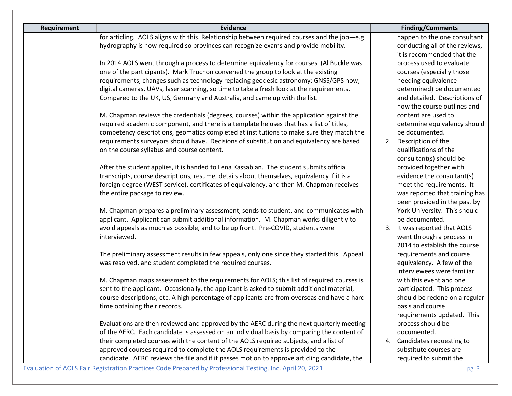| <b>Requirement</b> | <b>Evidence</b>                                                                              |             | <b>Finding/Comments</b>        |
|--------------------|----------------------------------------------------------------------------------------------|-------------|--------------------------------|
|                    | for articling. AOLS aligns with this. Relationship between required courses and the job-e.g. |             | happen to the one consultant   |
|                    | hydrography is now required so provinces can recognize exams and provide mobility.           |             | conducting all of the reviews, |
|                    |                                                                                              |             | it is recommended that the     |
|                    | In 2014 AOLS went through a process to determine equivalency for courses (Al Buckle was      |             | process used to evaluate       |
|                    | one of the participants). Mark Truchon convened the group to look at the existing            |             | courses (especially those      |
|                    | requirements, changes such as technology replacing geodesic astronomy; GNSS/GPS now;         |             | needing equivalence            |
|                    | digital cameras, UAVs, laser scanning, so time to take a fresh look at the requirements.     |             | determined) be documented      |
|                    | Compared to the UK, US, Germany and Australia, and came up with the list.                    |             | and detailed. Descriptions of  |
|                    |                                                                                              |             | how the course outlines and    |
|                    | M. Chapman reviews the credentials (degrees, courses) within the application against the     |             | content are used to            |
|                    | required academic component, and there is a template he uses that has a list of titles,      |             | determine equivalency should   |
|                    | competency descriptions, geomatics completed at institutions to make sure they match the     |             | be documented.                 |
|                    | requirements surveyors should have. Decisions of substitution and equivalency are based      | 2.          | Description of the             |
|                    | on the course syllabus and course content.                                                   |             | qualifications of the          |
|                    |                                                                                              |             | consultant(s) should be        |
|                    | After the student applies, it is handed to Lena Kassabian. The student submits official      |             | provided together with         |
|                    | transcripts, course descriptions, resume, details about themselves, equivalency if it is a   |             | evidence the consultant(s)     |
|                    | foreign degree (WEST service), certificates of equivalency, and then M. Chapman receives     |             | meet the requirements. It      |
|                    | the entire package to review.                                                                |             | was reported that training has |
|                    |                                                                                              |             | been provided in the past by   |
|                    | M. Chapman prepares a preliminary assessment, sends to student, and communicates with        |             | York University. This should   |
|                    | applicant. Applicant can submit additional information. M. Chapman works diligently to       |             | be documented.                 |
|                    | avoid appeals as much as possible, and to be up front. Pre-COVID, students were              |             | 3. It was reported that AOLS   |
|                    | interviewed.                                                                                 |             | went through a process in      |
|                    |                                                                                              |             | 2014 to establish the course   |
|                    | The preliminary assessment results in few appeals, only one since they started this. Appeal  |             | requirements and course        |
|                    | was resolved, and student completed the required courses.                                    |             | equivalency. A few of the      |
|                    |                                                                                              |             | interviewees were familiar     |
|                    | M. Chapman maps assessment to the requirements for AOLS; this list of required courses is    |             | with this event and one        |
|                    | sent to the applicant. Occasionally, the applicant is asked to submit additional material,   |             | participated. This process     |
|                    | course descriptions, etc. A high percentage of applicants are from overseas and have a hard  |             | should be redone on a regular  |
|                    | time obtaining their records.                                                                |             | basis and course               |
|                    |                                                                                              |             | requirements updated. This     |
|                    | Evaluations are then reviewed and approved by the AERC during the next quarterly meeting     |             | process should be              |
|                    | of the AERC. Each candidate is assessed on an individual basis by comparing the content of   | documented. |                                |
|                    | their completed courses with the content of the AOLS required subjects, and a list of        |             | 4. Candidates requesting to    |
|                    | approved courses required to complete the AOLS requirements is provided to the               |             | substitute courses are         |
|                    | candidate. AERC reviews the file and if it passes motion to approve articling candidate, the |             | required to submit the         |

Evaluation of AOLS Fair Registration Practices Code Prepared by Professional Testing, Inc. April 20, 2021 pg. 3 pg. 3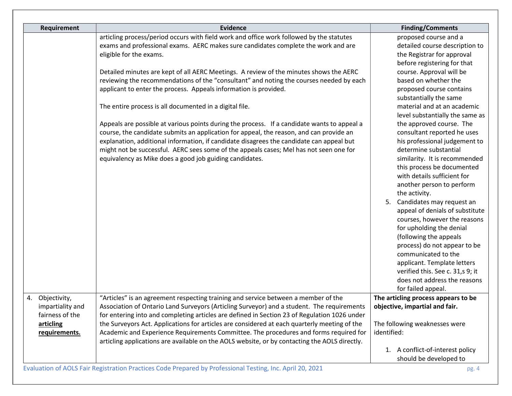| Requirement                                            | <b>Evidence</b>                                                                                                                                                                                                                                                                                                                                                                                                                         | <b>Finding/Comments</b>                                                                                                                                                                                                                                                                                                                                                                                                                                                                                                                                                             |
|--------------------------------------------------------|-----------------------------------------------------------------------------------------------------------------------------------------------------------------------------------------------------------------------------------------------------------------------------------------------------------------------------------------------------------------------------------------------------------------------------------------|-------------------------------------------------------------------------------------------------------------------------------------------------------------------------------------------------------------------------------------------------------------------------------------------------------------------------------------------------------------------------------------------------------------------------------------------------------------------------------------------------------------------------------------------------------------------------------------|
|                                                        | articling process/period occurs with field work and office work followed by the statutes<br>exams and professional exams. AERC makes sure candidates complete the work and are<br>eligible for the exams.                                                                                                                                                                                                                               | proposed course and a<br>detailed course description to<br>the Registrar for approval<br>before registering for that                                                                                                                                                                                                                                                                                                                                                                                                                                                                |
|                                                        | Detailed minutes are kept of all AERC Meetings. A review of the minutes shows the AERC<br>reviewing the recommendations of the "consultant" and noting the courses needed by each<br>applicant to enter the process. Appeals information is provided.                                                                                                                                                                                   | course. Approval will be<br>based on whether the<br>proposed course contains                                                                                                                                                                                                                                                                                                                                                                                                                                                                                                        |
|                                                        | The entire process is all documented in a digital file.                                                                                                                                                                                                                                                                                                                                                                                 | substantially the same<br>material and at an academic<br>level substantially the same as                                                                                                                                                                                                                                                                                                                                                                                                                                                                                            |
|                                                        | Appeals are possible at various points during the process. If a candidate wants to appeal a<br>course, the candidate submits an application for appeal, the reason, and can provide an<br>explanation, additional information, if candidate disagrees the candidate can appeal but<br>might not be successful. AERC sees some of the appeals cases; Mel has not seen one for<br>equivalency as Mike does a good job guiding candidates. | the approved course. The<br>consultant reported he uses<br>his professional judgement to<br>determine substantial<br>similarity. It is recommended<br>this process be documented<br>with details sufficient for<br>another person to perform<br>the activity.<br>Candidates may request an<br>5.<br>appeal of denials of substitute<br>courses, however the reasons<br>for upholding the denial<br>(following the appeals<br>process) do not appear to be<br>communicated to the<br>applicant. Template letters<br>verified this. See c. 31,s 9; it<br>does not address the reasons |
| 4. Objectivity,<br>impartiality and<br>fairness of the | "Articles" is an agreement respecting training and service between a member of the<br>Association of Ontario Land Surveyors (Articling Surveyor) and a student. The requirements<br>for entering into and completing articles are defined in Section 23 of Regulation 1026 under                                                                                                                                                        | for failed appeal.<br>The articling process appears to be<br>objective, impartial and fair.                                                                                                                                                                                                                                                                                                                                                                                                                                                                                         |
| articling<br>requirements.                             | the Surveyors Act. Applications for articles are considered at each quarterly meeting of the<br>Academic and Experience Requirements Committee. The procedures and forms required for<br>articling applications are available on the AOLS website, or by contacting the AOLS directly.                                                                                                                                                  | The following weaknesses were<br>identified:                                                                                                                                                                                                                                                                                                                                                                                                                                                                                                                                        |
|                                                        |                                                                                                                                                                                                                                                                                                                                                                                                                                         | A conflict-of-interest policy<br>1.<br>should be developed to                                                                                                                                                                                                                                                                                                                                                                                                                                                                                                                       |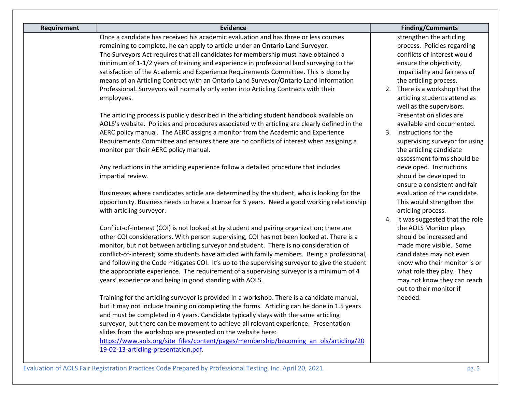| <b>Evidence</b>                                                                                                                                                                                                                                                                                                                                                                                                                                                                                                                                                                                                                                                                                                                                                                                                                                                                                                                                                                                                                                                                                                                                                                                                                                                                                                                                                                                                                                                                                                                                                                                                                                                                                                                                                                                                                                                                                                                                                                                                                                                                                                                                                                                                                                                                                                                                                                                                               | <b>Finding/Comments</b>                                                                                                                                                                                                                                                                                                                                                                                                                                                                                                                                                                                                                                                                                                                                                                                                                                                                                            |
|-------------------------------------------------------------------------------------------------------------------------------------------------------------------------------------------------------------------------------------------------------------------------------------------------------------------------------------------------------------------------------------------------------------------------------------------------------------------------------------------------------------------------------------------------------------------------------------------------------------------------------------------------------------------------------------------------------------------------------------------------------------------------------------------------------------------------------------------------------------------------------------------------------------------------------------------------------------------------------------------------------------------------------------------------------------------------------------------------------------------------------------------------------------------------------------------------------------------------------------------------------------------------------------------------------------------------------------------------------------------------------------------------------------------------------------------------------------------------------------------------------------------------------------------------------------------------------------------------------------------------------------------------------------------------------------------------------------------------------------------------------------------------------------------------------------------------------------------------------------------------------------------------------------------------------------------------------------------------------------------------------------------------------------------------------------------------------------------------------------------------------------------------------------------------------------------------------------------------------------------------------------------------------------------------------------------------------------------------------------------------------------------------------------------------------|--------------------------------------------------------------------------------------------------------------------------------------------------------------------------------------------------------------------------------------------------------------------------------------------------------------------------------------------------------------------------------------------------------------------------------------------------------------------------------------------------------------------------------------------------------------------------------------------------------------------------------------------------------------------------------------------------------------------------------------------------------------------------------------------------------------------------------------------------------------------------------------------------------------------|
| Once a candidate has received his academic evaluation and has three or less courses<br>remaining to complete, he can apply to article under an Ontario Land Surveyor.<br>The Surveyors Act requires that all candidates for membership must have obtained a<br>minimum of 1-1/2 years of training and experience in professional land surveying to the<br>satisfaction of the Academic and Experience Requirements Committee. This is done by<br>means of an Articling Contract with an Ontario Land Surveyor/Ontario Land Information<br>Professional. Surveyors will normally only enter into Articling Contracts with their<br>employees.<br>The articling process is publicly described in the articling student handbook available on<br>AOLS's website. Policies and procedures associated with articling are clearly defined in the<br>AERC policy manual. The AERC assigns a monitor from the Academic and Experience<br>Requirements Committee and ensures there are no conflicts of interest when assigning a<br>monitor per their AERC policy manual.<br>Any reductions in the articling experience follow a detailed procedure that includes<br>impartial review.<br>Businesses where candidates article are determined by the student, who is looking for the<br>opportunity. Business needs to have a license for 5 years. Need a good working relationship<br>with articling surveyor.<br>Conflict-of-interest (COI) is not looked at by student and pairing organization; there are<br>other COI considerations. With person supervising, COI has not been looked at. There is a<br>monitor, but not between articling surveyor and student. There is no consideration of<br>conflict-of-interest; some students have articled with family members. Being a professional,<br>and following the Code mitigates COI. It's up to the supervising surveyor to give the student<br>the appropriate experience. The requirement of a supervising surveyor is a minimum of 4<br>years' experience and being in good standing with AOLS.<br>Training for the articling surveyor is provided in a workshop. There is a candidate manual,<br>but it may not include training on completing the forms. Articling can be done in 1.5 years<br>and must be completed in 4 years. Candidate typically stays with the same articling<br>surveyor, but there can be movement to achieve all relevant experience. Presentation | strengthen the articling<br>process. Policies regarding<br>conflicts of interest would<br>ensure the objectivity,<br>impartiality and fairness of<br>the articling process.<br>2. There is a workshop that the<br>articling students attend as<br>well as the supervisors.<br>Presentation slides are<br>available and documented.<br>3. Instructions for the<br>supervising surveyor for using<br>the articling candidate<br>assessment forms should be<br>developed. Instructions<br>should be developed to<br>ensure a consistent and fair<br>evaluation of the candidate.<br>This would strengthen the<br>articling process.<br>4. It was suggested that the role<br>the AOLS Monitor plays<br>should be increased and<br>made more visible. Some<br>candidates may not even<br>know who their monitor is or<br>what role they play. They<br>may not know they can reach<br>out to their monitor if<br>needed. |
| slides from the workshop are presented on the website here:<br>https://www.aols.org/site_files/content/pages/membership/becoming_an_ols/articling/20                                                                                                                                                                                                                                                                                                                                                                                                                                                                                                                                                                                                                                                                                                                                                                                                                                                                                                                                                                                                                                                                                                                                                                                                                                                                                                                                                                                                                                                                                                                                                                                                                                                                                                                                                                                                                                                                                                                                                                                                                                                                                                                                                                                                                                                                          |                                                                                                                                                                                                                                                                                                                                                                                                                                                                                                                                                                                                                                                                                                                                                                                                                                                                                                                    |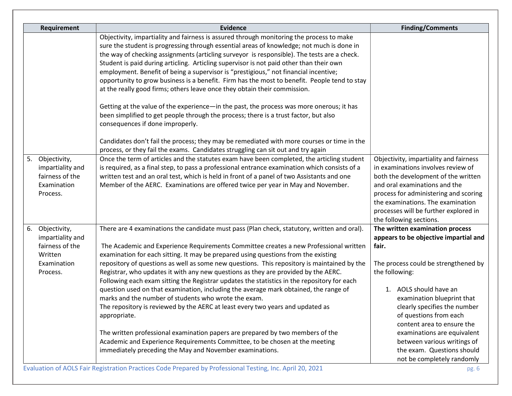| Requirement                                                                                     | <b>Evidence</b>                                                                                                                                                                                                                                                                                                                                                                                                                                                                                                                                                                                                                                                                                                                                                                                                                                                                                                                                                                                                                                                                                                                                              | <b>Finding/Comments</b>                                                                                                                                                                                                                                                                                                                                                                                               |
|-------------------------------------------------------------------------------------------------|--------------------------------------------------------------------------------------------------------------------------------------------------------------------------------------------------------------------------------------------------------------------------------------------------------------------------------------------------------------------------------------------------------------------------------------------------------------------------------------------------------------------------------------------------------------------------------------------------------------------------------------------------------------------------------------------------------------------------------------------------------------------------------------------------------------------------------------------------------------------------------------------------------------------------------------------------------------------------------------------------------------------------------------------------------------------------------------------------------------------------------------------------------------|-----------------------------------------------------------------------------------------------------------------------------------------------------------------------------------------------------------------------------------------------------------------------------------------------------------------------------------------------------------------------------------------------------------------------|
| Objectivity,<br>5.                                                                              | Objectivity, impartiality and fairness is assured through monitoring the process to make<br>sure the student is progressing through essential areas of knowledge; not much is done in<br>the way of checking assignments (articling surveyor is responsible). The tests are a check.<br>Student is paid during articling. Articling supervisor is not paid other than their own<br>employment. Benefit of being a supervisor is "prestigious," not financial incentive;<br>opportunity to grow business is a benefit. Firm has the most to benefit. People tend to stay<br>at the really good firms; others leave once they obtain their commission.<br>Getting at the value of the experience—in the past, the process was more onerous; it has<br>been simplified to get people through the process; there is a trust factor, but also<br>consequences if done improperly.<br>Candidates don't fail the process; they may be remediated with more courses or time in the<br>process, or they fail the exams. Candidates struggling can sit out and try again<br>Once the term of articles and the statutes exam have been completed, the articling student | Objectivity, impartiality and fairness                                                                                                                                                                                                                                                                                                                                                                                |
| impartiality and<br>fairness of the<br>Examination<br>Process.                                  | is required, as a final step, to pass a professional entrance examination which consists of a<br>written test and an oral test, which is held in front of a panel of two Assistants and one<br>Member of the AERC. Examinations are offered twice per year in May and November.                                                                                                                                                                                                                                                                                                                                                                                                                                                                                                                                                                                                                                                                                                                                                                                                                                                                              | in examinations involves review of<br>both the development of the written<br>and oral examinations and the<br>process for administering and scoring<br>the examinations. The examination<br>processes will be further explored in<br>the following sections.                                                                                                                                                          |
| Objectivity,<br>6.<br>impartiality and<br>fairness of the<br>Written<br>Examination<br>Process. | There are 4 examinations the candidate must pass (Plan check, statutory, written and oral).<br>The Academic and Experience Requirements Committee creates a new Professional written<br>examination for each sitting. It may be prepared using questions from the existing<br>repository of questions as well as some new questions. This repository is maintained by the<br>Registrar, who updates it with any new questions as they are provided by the AERC.<br>Following each exam sitting the Registrar updates the statistics in the repository for each<br>question used on that examination, including the average mark obtained, the range of<br>marks and the number of students who wrote the exam.<br>The repository is reviewed by the AERC at least every two years and updated as<br>appropriate.<br>The written professional examination papers are prepared by two members of the<br>Academic and Experience Requirements Committee, to be chosen at the meeting<br>immediately preceding the May and November examinations.                                                                                                                | The written examination process<br>appears to be objective impartial and<br>fair.<br>The process could be strengthened by<br>the following:<br>1. AOLS should have an<br>examination blueprint that<br>clearly specifies the number<br>of questions from each<br>content area to ensure the<br>examinations are equivalent<br>between various writings of<br>the exam. Questions should<br>not be completely randomly |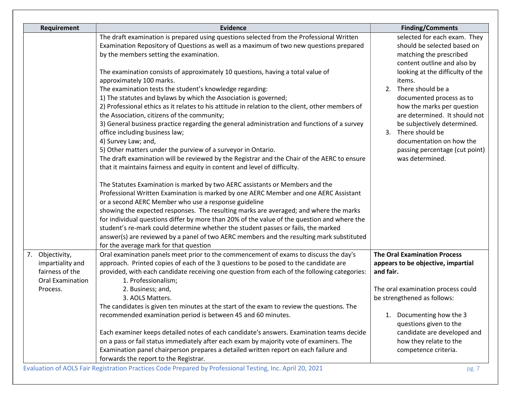| Requirement                                               | <b>Evidence</b>                                                                                                                                                                                                                                                                                                                                                                                                                                                                                                                                                                                                                                                                                                                                                                                                                                                                                                                                                                                                                                                                                                                                                                                                                                                                                                                                                                                             | <b>Finding/Comments</b>                                                                                                                                                                                                                                                                                                            |
|-----------------------------------------------------------|-------------------------------------------------------------------------------------------------------------------------------------------------------------------------------------------------------------------------------------------------------------------------------------------------------------------------------------------------------------------------------------------------------------------------------------------------------------------------------------------------------------------------------------------------------------------------------------------------------------------------------------------------------------------------------------------------------------------------------------------------------------------------------------------------------------------------------------------------------------------------------------------------------------------------------------------------------------------------------------------------------------------------------------------------------------------------------------------------------------------------------------------------------------------------------------------------------------------------------------------------------------------------------------------------------------------------------------------------------------------------------------------------------------|------------------------------------------------------------------------------------------------------------------------------------------------------------------------------------------------------------------------------------------------------------------------------------------------------------------------------------|
|                                                           | The draft examination is prepared using questions selected from the Professional Written<br>Examination Repository of Questions as well as a maximum of two new questions prepared<br>by the members setting the examination.                                                                                                                                                                                                                                                                                                                                                                                                                                                                                                                                                                                                                                                                                                                                                                                                                                                                                                                                                                                                                                                                                                                                                                               | selected for each exam. They<br>should be selected based on<br>matching the prescribed                                                                                                                                                                                                                                             |
|                                                           | The examination consists of approximately 10 questions, having a total value of<br>approximately 100 marks.<br>The examination tests the student's knowledge regarding:<br>1) The statutes and bylaws by which the Association is governed;<br>2) Professional ethics as it relates to his attitude in relation to the client, other members of<br>the Association, citizens of the community;<br>3) General business practice regarding the general administration and functions of a survey<br>office including business law;<br>4) Survey Law; and,<br>5) Other matters under the purview of a surveyor in Ontario.<br>The draft examination will be reviewed by the Registrar and the Chair of the AERC to ensure<br>that it maintains fairness and equity in content and level of difficulty.<br>The Statutes Examination is marked by two AERC assistants or Members and the<br>Professional Written Examination is marked by one AERC Member and one AERC Assistant<br>or a second AERC Member who use a response guideline<br>showing the expected responses. The resulting marks are averaged; and where the marks<br>for individual questions differ by more than 20% of the value of the question and where the<br>student's re-mark could determine whether the student passes or fails, the marked<br>answer(s) are reviewed by a panel of two AERC members and the resulting mark substituted | content outline and also by<br>looking at the difficulty of the<br>items.<br>2. There should be a<br>documented process as to<br>how the marks per question<br>are determined. It should not<br>be subjectively determined.<br>3. There should be<br>documentation on how the<br>passing percentage (cut point)<br>was determined. |
| 7.<br>Objectivity,<br>impartiality and<br>fairness of the | for the average mark for that question<br>Oral examination panels meet prior to the commencement of exams to discuss the day's<br>approach. Printed copies of each of the 3 questions to be posed to the candidate are<br>provided, with each candidate receiving one question from each of the following categories:                                                                                                                                                                                                                                                                                                                                                                                                                                                                                                                                                                                                                                                                                                                                                                                                                                                                                                                                                                                                                                                                                       | <b>The Oral Examination Process</b><br>appears to be objective, impartial<br>and fair.                                                                                                                                                                                                                                             |
| Oral Examination<br>Process.                              | 1. Professionalism;<br>2. Business; and,<br>3. AOLS Matters.                                                                                                                                                                                                                                                                                                                                                                                                                                                                                                                                                                                                                                                                                                                                                                                                                                                                                                                                                                                                                                                                                                                                                                                                                                                                                                                                                | The oral examination process could<br>be strengthened as follows:                                                                                                                                                                                                                                                                  |
|                                                           | The candidates is given ten minutes at the start of the exam to review the questions. The<br>recommended examination period is between 45 and 60 minutes.<br>Each examiner keeps detailed notes of each candidate's answers. Examination teams decide<br>on a pass or fail status immediately after each exam by majority vote of examiners. The<br>Examination panel chairperson prepares a detailed written report on each failure and<br>forwards the report to the Registrar.                                                                                                                                                                                                                                                                                                                                                                                                                                                                                                                                                                                                                                                                                                                                                                                                                                                                                                                           | Documenting how the 3<br>1.<br>questions given to the<br>candidate are developed and<br>how they relate to the<br>competence criteria.                                                                                                                                                                                             |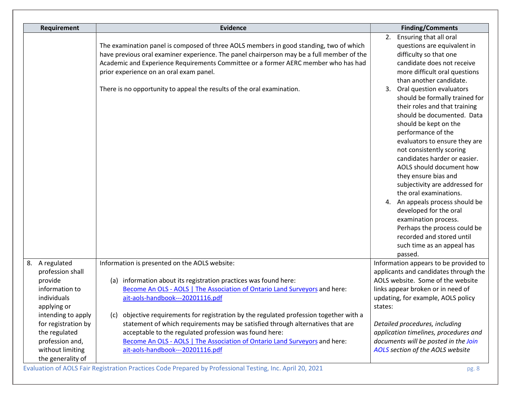| Requirement                                                                                                            | <b>Evidence</b>                                                                                                                                                                                                                                                                                                                                          | <b>Finding/Comments</b>                                                                                                                                                                                                                                                                                                                                                                                                                                                                                                                                                             |
|------------------------------------------------------------------------------------------------------------------------|----------------------------------------------------------------------------------------------------------------------------------------------------------------------------------------------------------------------------------------------------------------------------------------------------------------------------------------------------------|-------------------------------------------------------------------------------------------------------------------------------------------------------------------------------------------------------------------------------------------------------------------------------------------------------------------------------------------------------------------------------------------------------------------------------------------------------------------------------------------------------------------------------------------------------------------------------------|
|                                                                                                                        | The examination panel is composed of three AOLS members in good standing, two of which<br>have previous oral examiner experience. The panel chairperson may be a full member of the<br>Academic and Experience Requirements Committee or a former AERC member who has had<br>prior experience on an oral exam panel.                                     | 2. Ensuring that all oral<br>questions are equivalent in<br>difficulty so that one<br>candidate does not receive<br>more difficult oral questions<br>than another candidate.                                                                                                                                                                                                                                                                                                                                                                                                        |
|                                                                                                                        | There is no opportunity to appeal the results of the oral examination.                                                                                                                                                                                                                                                                                   | 3. Oral question evaluators<br>should be formally trained for<br>their roles and that training<br>should be documented. Data<br>should be kept on the<br>performance of the<br>evaluators to ensure they are<br>not consistently scoring<br>candidates harder or easier.<br>AOLS should document how<br>they ensure bias and<br>subjectivity are addressed for<br>the oral examinations.<br>4. An appeals process should be<br>developed for the oral<br>examination process.<br>Perhaps the process could be<br>recorded and stored until<br>such time as an appeal has<br>passed. |
| 8. A regulated<br>profession shall<br>provide<br>information to<br>individuals<br>applying or                          | Information is presented on the AOLS website:<br>information about its registration practices was found here:<br>(a)<br>Become An OLS - AOLS   The Association of Ontario Land Surveyors and here:<br>ait-aols-handbook---20201116.pdf                                                                                                                   | Information appears to be provided to<br>applicants and candidates through the<br>AOLS website. Some of the website<br>links appear broken or in need of<br>updating, for example, AOLS policy<br>states:                                                                                                                                                                                                                                                                                                                                                                           |
| intending to apply<br>for registration by<br>the regulated<br>profession and,<br>without limiting<br>the generality of | objective requirements for registration by the regulated profession together with a<br>(c)<br>statement of which requirements may be satisfied through alternatives that are<br>acceptable to the regulated profession was found here:<br>Become An OLS - AOLS   The Association of Ontario Land Surveyors and here:<br>ait-aols-handbook---20201116.pdf | Detailed procedures, including<br>application timelines, procedures and<br>documents will be posted in the Join<br>AOLS section of the AOLS website                                                                                                                                                                                                                                                                                                                                                                                                                                 |

Evaluation of AOLS Fair Registration Practices Code Prepared by Professional Testing, Inc. April 20, 2021 pg. 8 pg. 8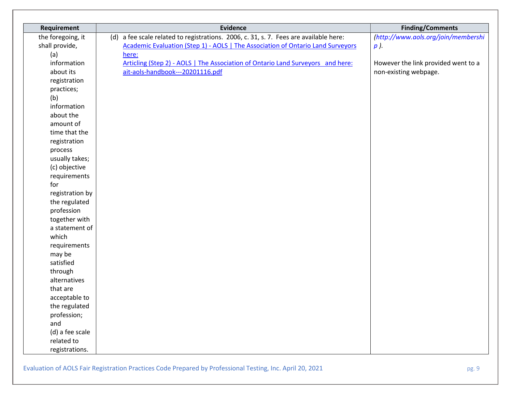| Requirement       | <b>Evidence</b>                                                                       | <b>Finding/Comments</b>             |
|-------------------|---------------------------------------------------------------------------------------|-------------------------------------|
| the foregoing, it | (d) a fee scale related to registrations. 2006, c. 31, s. 7. Fees are available here: | (http://www.aols.org/join/membershi |
| shall provide,    | Academic Evaluation (Step 1) - AOLS   The Association of Ontario Land Surveyors       | p).                                 |
| (a)               | here:                                                                                 |                                     |
| information       | Articling (Step 2) - AOLS   The Association of Ontario Land Surveyors and here:       | However the link provided went to a |
| about its         | ait-aols-handbook---20201116.pdf                                                      | non-existing webpage.               |
| registration      |                                                                                       |                                     |
| practices;        |                                                                                       |                                     |
| (b)               |                                                                                       |                                     |
| information       |                                                                                       |                                     |
| about the         |                                                                                       |                                     |
| amount of         |                                                                                       |                                     |
| time that the     |                                                                                       |                                     |
| registration      |                                                                                       |                                     |
| process           |                                                                                       |                                     |
| usually takes;    |                                                                                       |                                     |
| (c) objective     |                                                                                       |                                     |
| requirements      |                                                                                       |                                     |
| for               |                                                                                       |                                     |
| registration by   |                                                                                       |                                     |
| the regulated     |                                                                                       |                                     |
| profession        |                                                                                       |                                     |
| together with     |                                                                                       |                                     |
| a statement of    |                                                                                       |                                     |
| which             |                                                                                       |                                     |
| requirements      |                                                                                       |                                     |
| may be            |                                                                                       |                                     |
| satisfied         |                                                                                       |                                     |
| through           |                                                                                       |                                     |
| alternatives      |                                                                                       |                                     |
| that are          |                                                                                       |                                     |
| acceptable to     |                                                                                       |                                     |
| the regulated     |                                                                                       |                                     |
| profession;       |                                                                                       |                                     |
| and               |                                                                                       |                                     |
| (d) a fee scale   |                                                                                       |                                     |
| related to        |                                                                                       |                                     |
| registrations.    |                                                                                       |                                     |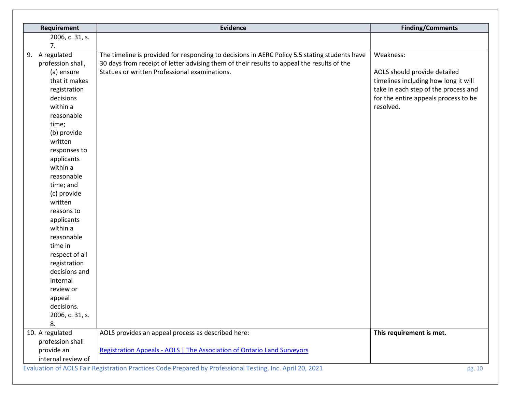| Requirement                                                                                                                     | <b>Evidence</b>                                                                               | <b>Finding/Comments</b>              |
|---------------------------------------------------------------------------------------------------------------------------------|-----------------------------------------------------------------------------------------------|--------------------------------------|
| 2006, c. 31, s.                                                                                                                 |                                                                                               |                                      |
| 7.                                                                                                                              |                                                                                               |                                      |
| A regulated<br>9.                                                                                                               | The timeline is provided for responding to decisions in AERC Policy 5.5 stating students have | Weakness:                            |
| profession shall,                                                                                                               | 30 days from receipt of letter advising them of their results to appeal the results of the    |                                      |
| (a) ensure                                                                                                                      | Statues or written Professional examinations.                                                 | AOLS should provide detailed         |
| that it makes                                                                                                                   |                                                                                               | timelines including how long it will |
| registration                                                                                                                    |                                                                                               | take in each step of the process and |
| decisions                                                                                                                       |                                                                                               | for the entire appeals process to be |
| within a                                                                                                                        |                                                                                               | resolved.                            |
| reasonable                                                                                                                      |                                                                                               |                                      |
| time;                                                                                                                           |                                                                                               |                                      |
| (b) provide                                                                                                                     |                                                                                               |                                      |
| written                                                                                                                         |                                                                                               |                                      |
| responses to                                                                                                                    |                                                                                               |                                      |
| applicants                                                                                                                      |                                                                                               |                                      |
| within a                                                                                                                        |                                                                                               |                                      |
| reasonable                                                                                                                      |                                                                                               |                                      |
| time; and                                                                                                                       |                                                                                               |                                      |
| (c) provide                                                                                                                     |                                                                                               |                                      |
| written                                                                                                                         |                                                                                               |                                      |
| reasons to                                                                                                                      |                                                                                               |                                      |
| applicants                                                                                                                      |                                                                                               |                                      |
| within a                                                                                                                        |                                                                                               |                                      |
| reasonable                                                                                                                      |                                                                                               |                                      |
| time in                                                                                                                         |                                                                                               |                                      |
| respect of all                                                                                                                  |                                                                                               |                                      |
| registration                                                                                                                    |                                                                                               |                                      |
| decisions and                                                                                                                   |                                                                                               |                                      |
| internal                                                                                                                        |                                                                                               |                                      |
| review or                                                                                                                       |                                                                                               |                                      |
| appeal                                                                                                                          |                                                                                               |                                      |
| decisions.                                                                                                                      |                                                                                               |                                      |
| 2006, c. 31, s.                                                                                                                 |                                                                                               |                                      |
| 8.                                                                                                                              |                                                                                               |                                      |
| 10. A regulated                                                                                                                 | AOLS provides an appeal process as described here:                                            | This requirement is met.             |
| profession shall                                                                                                                |                                                                                               |                                      |
| provide an                                                                                                                      | <b>Registration Appeals - AOLS   The Association of Ontario Land Surveyors</b>                |                                      |
| internal review of<br>Evaluation of AOLS Fair Registration Practices Code Prepared by Professional Testing, Inc. April 20, 2021 |                                                                                               |                                      |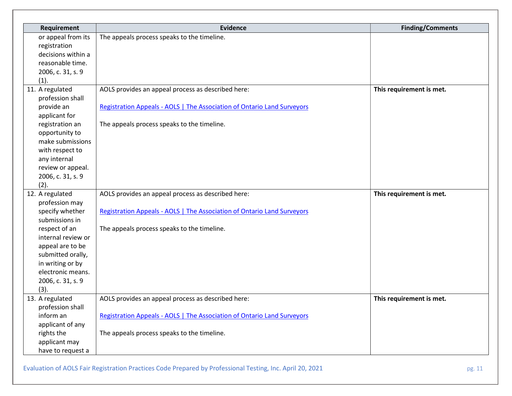| Requirement        | <b>Evidence</b>                                                                | <b>Finding/Comments</b>  |
|--------------------|--------------------------------------------------------------------------------|--------------------------|
| or appeal from its | The appeals process speaks to the timeline.                                    |                          |
| registration       |                                                                                |                          |
| decisions within a |                                                                                |                          |
| reasonable time.   |                                                                                |                          |
| 2006, c. 31, s. 9  |                                                                                |                          |
| (1).               |                                                                                |                          |
| 11. A regulated    | AOLS provides an appeal process as described here:                             | This requirement is met. |
| profession shall   |                                                                                |                          |
| provide an         | Registration Appeals - AOLS   The Association of Ontario Land Surveyors        |                          |
| applicant for      |                                                                                |                          |
| registration an    | The appeals process speaks to the timeline.                                    |                          |
| opportunity to     |                                                                                |                          |
| make submissions   |                                                                                |                          |
| with respect to    |                                                                                |                          |
| any internal       |                                                                                |                          |
| review or appeal.  |                                                                                |                          |
| 2006, c. 31, s. 9  |                                                                                |                          |
| (2).               |                                                                                |                          |
| 12. A regulated    | AOLS provides an appeal process as described here:                             | This requirement is met. |
| profession may     |                                                                                |                          |
| specify whether    | <b>Registration Appeals - AOLS   The Association of Ontario Land Surveyors</b> |                          |
| submissions in     |                                                                                |                          |
| respect of an      | The appeals process speaks to the timeline.                                    |                          |
| internal review or |                                                                                |                          |
| appeal are to be   |                                                                                |                          |
| submitted orally,  |                                                                                |                          |
| in writing or by   |                                                                                |                          |
| electronic means.  |                                                                                |                          |
| 2006, c. 31, s. 9  |                                                                                |                          |
| (3).               |                                                                                |                          |
| 13. A regulated    | AOLS provides an appeal process as described here:                             | This requirement is met. |
| profession shall   |                                                                                |                          |
| inform an          | <b>Registration Appeals - AOLS   The Association of Ontario Land Surveyors</b> |                          |
| applicant of any   |                                                                                |                          |
| rights the         | The appeals process speaks to the timeline.                                    |                          |
| applicant may      |                                                                                |                          |
| have to request a  |                                                                                |                          |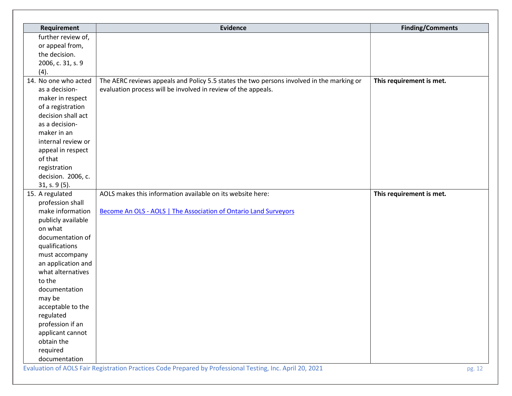| Requirement          | <b>Evidence</b>                                                                                           | <b>Finding/Comments</b>  |
|----------------------|-----------------------------------------------------------------------------------------------------------|--------------------------|
| further review of,   |                                                                                                           |                          |
| or appeal from,      |                                                                                                           |                          |
| the decision.        |                                                                                                           |                          |
| 2006, c. 31, s. 9    |                                                                                                           |                          |
| (4).                 |                                                                                                           |                          |
| 14. No one who acted | The AERC reviews appeals and Policy 5.5 states the two persons involved in the marking or                 | This requirement is met. |
| as a decision-       | evaluation process will be involved in review of the appeals.                                             |                          |
| maker in respect     |                                                                                                           |                          |
| of a registration    |                                                                                                           |                          |
| decision shall act   |                                                                                                           |                          |
| as a decision-       |                                                                                                           |                          |
| maker in an          |                                                                                                           |                          |
| internal review or   |                                                                                                           |                          |
| appeal in respect    |                                                                                                           |                          |
| of that              |                                                                                                           |                          |
| registration         |                                                                                                           |                          |
| decision. 2006, c.   |                                                                                                           |                          |
| 31, s. 9(5).         |                                                                                                           |                          |
| 15. A regulated      | AOLS makes this information available on its website here:                                                | This requirement is met. |
| profession shall     |                                                                                                           |                          |
| make information     | Become An OLS - AOLS   The Association of Ontario Land Surveyors                                          |                          |
| publicly available   |                                                                                                           |                          |
| on what              |                                                                                                           |                          |
| documentation of     |                                                                                                           |                          |
| qualifications       |                                                                                                           |                          |
| must accompany       |                                                                                                           |                          |
| an application and   |                                                                                                           |                          |
| what alternatives    |                                                                                                           |                          |
| to the               |                                                                                                           |                          |
| documentation        |                                                                                                           |                          |
| may be               |                                                                                                           |                          |
| acceptable to the    |                                                                                                           |                          |
| regulated            |                                                                                                           |                          |
| profession if an     |                                                                                                           |                          |
| applicant cannot     |                                                                                                           |                          |
| obtain the           |                                                                                                           |                          |
| required             |                                                                                                           |                          |
| documentation        | Evaluation of AOLS Fair Registration Practices Code Prepared by Professional Testing, Inc. April 20, 2021 | pg. 12                   |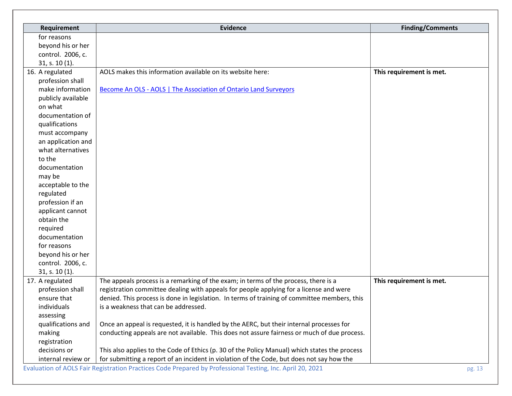| Requirement        | <b>Evidence</b>                                                                               | <b>Finding/Comments</b>  |
|--------------------|-----------------------------------------------------------------------------------------------|--------------------------|
| for reasons        |                                                                                               |                          |
| beyond his or her  |                                                                                               |                          |
| control. 2006, c.  |                                                                                               |                          |
| 31, s. 10(1).      |                                                                                               |                          |
| 16. A regulated    | AOLS makes this information available on its website here:                                    | This requirement is met. |
| profession shall   |                                                                                               |                          |
| make information   | Become An OLS - AOLS   The Association of Ontario Land Surveyors                              |                          |
| publicly available |                                                                                               |                          |
| on what            |                                                                                               |                          |
| documentation of   |                                                                                               |                          |
| qualifications     |                                                                                               |                          |
| must accompany     |                                                                                               |                          |
| an application and |                                                                                               |                          |
| what alternatives  |                                                                                               |                          |
| to the             |                                                                                               |                          |
| documentation      |                                                                                               |                          |
| may be             |                                                                                               |                          |
| acceptable to the  |                                                                                               |                          |
| regulated          |                                                                                               |                          |
| profession if an   |                                                                                               |                          |
| applicant cannot   |                                                                                               |                          |
| obtain the         |                                                                                               |                          |
| required           |                                                                                               |                          |
| documentation      |                                                                                               |                          |
| for reasons        |                                                                                               |                          |
| beyond his or her  |                                                                                               |                          |
| control. 2006, c.  |                                                                                               |                          |
| 31, s. 10(1).      |                                                                                               |                          |
| 17. A regulated    | The appeals process is a remarking of the exam; in terms of the process, there is a           | This requirement is met. |
| profession shall   | registration committee dealing with appeals for people applying for a license and were        |                          |
| ensure that        | denied. This process is done in legislation. In terms of training of committee members, this  |                          |
| individuals        | is a weakness that can be addressed.                                                          |                          |
| assessing          |                                                                                               |                          |
| qualifications and | Once an appeal is requested, it is handled by the AERC, but their internal processes for      |                          |
| making             | conducting appeals are not available. This does not assure fairness or much of due process.   |                          |
| registration       |                                                                                               |                          |
| decisions or       | This also applies to the Code of Ethics (p. 30 of the Policy Manual) which states the process |                          |
| internal review or | for submitting a report of an incident in violation of the Code, but does not say how the     |                          |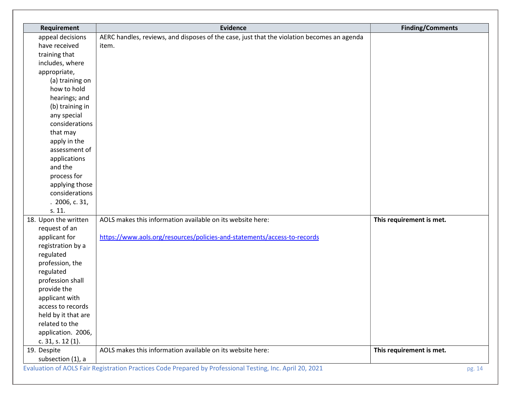| Requirement          | <b>Evidence</b>                                                                                           | <b>Finding/Comments</b>  |
|----------------------|-----------------------------------------------------------------------------------------------------------|--------------------------|
| appeal decisions     | AERC handles, reviews, and disposes of the case, just that the violation becomes an agenda                |                          |
| have received        | item.                                                                                                     |                          |
| training that        |                                                                                                           |                          |
| includes, where      |                                                                                                           |                          |
| appropriate,         |                                                                                                           |                          |
| (a) training on      |                                                                                                           |                          |
| how to hold          |                                                                                                           |                          |
| hearings; and        |                                                                                                           |                          |
| (b) training in      |                                                                                                           |                          |
| any special          |                                                                                                           |                          |
| considerations       |                                                                                                           |                          |
| that may             |                                                                                                           |                          |
| apply in the         |                                                                                                           |                          |
| assessment of        |                                                                                                           |                          |
| applications         |                                                                                                           |                          |
| and the              |                                                                                                           |                          |
| process for          |                                                                                                           |                          |
| applying those       |                                                                                                           |                          |
| considerations       |                                                                                                           |                          |
| .2006, c.31,         |                                                                                                           |                          |
| s. 11.               |                                                                                                           |                          |
| 18. Upon the written | AOLS makes this information available on its website here:                                                | This requirement is met. |
| request of an        |                                                                                                           |                          |
| applicant for        | https://www.aols.org/resources/policies-and-statements/access-to-records                                  |                          |
| registration by a    |                                                                                                           |                          |
| regulated            |                                                                                                           |                          |
| profession, the      |                                                                                                           |                          |
| regulated            |                                                                                                           |                          |
| profession shall     |                                                                                                           |                          |
| provide the          |                                                                                                           |                          |
| applicant with       |                                                                                                           |                          |
| access to records    |                                                                                                           |                          |
| held by it that are  |                                                                                                           |                          |
| related to the       |                                                                                                           |                          |
| application. 2006,   |                                                                                                           |                          |
| c. 31, s. 12 (1).    |                                                                                                           |                          |
| 19. Despite          | AOLS makes this information available on its website here:                                                | This requirement is met. |
| subsection (1), a    |                                                                                                           |                          |
|                      | Evaluation of AOLS Fair Registration Practices Code Prepared by Professional Testing, Inc. April 20, 2021 | pg. 14                   |
|                      |                                                                                                           |                          |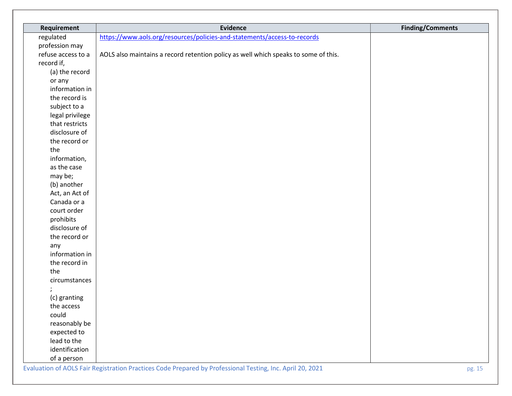| Requirement        | <b>Evidence</b>                                                                     | <b>Finding/Comments</b> |
|--------------------|-------------------------------------------------------------------------------------|-------------------------|
| regulated          | https://www.aols.org/resources/policies-and-statements/access-to-records            |                         |
| profession may     |                                                                                     |                         |
| refuse access to a | AOLS also maintains a record retention policy as well which speaks to some of this. |                         |
| record if,         |                                                                                     |                         |
| (a) the record     |                                                                                     |                         |
| or any             |                                                                                     |                         |
| information in     |                                                                                     |                         |
| the record is      |                                                                                     |                         |
| subject to a       |                                                                                     |                         |
| legal privilege    |                                                                                     |                         |
| that restricts     |                                                                                     |                         |
| disclosure of      |                                                                                     |                         |
| the record or      |                                                                                     |                         |
| the                |                                                                                     |                         |
| information,       |                                                                                     |                         |
| as the case        |                                                                                     |                         |
| may be;            |                                                                                     |                         |
| (b) another        |                                                                                     |                         |
| Act, an Act of     |                                                                                     |                         |
| Canada or a        |                                                                                     |                         |
| court order        |                                                                                     |                         |
| prohibits          |                                                                                     |                         |
| disclosure of      |                                                                                     |                         |
| the record or      |                                                                                     |                         |
| any                |                                                                                     |                         |
| information in     |                                                                                     |                         |
| the record in      |                                                                                     |                         |
| the                |                                                                                     |                         |
| circumstances      |                                                                                     |                         |
|                    |                                                                                     |                         |
| (c) granting       |                                                                                     |                         |
| the access         |                                                                                     |                         |
| could              |                                                                                     |                         |
| reasonably be      |                                                                                     |                         |
| expected to        |                                                                                     |                         |
| lead to the        |                                                                                     |                         |
| identification     |                                                                                     |                         |
| of a person        |                                                                                     |                         |

Evaluation of AOLS Fair Registration Practices Code Prepared by Professional Testing, Inc. April 20, 2021 pg. 15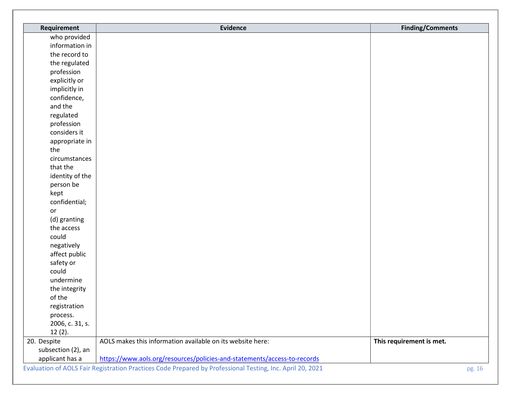| Requirement        | <b>Evidence</b>                                                          | <b>Finding/Comments</b>  |
|--------------------|--------------------------------------------------------------------------|--------------------------|
| who provided       |                                                                          |                          |
| information in     |                                                                          |                          |
| the record to      |                                                                          |                          |
| the regulated      |                                                                          |                          |
| profession         |                                                                          |                          |
| explicitly or      |                                                                          |                          |
| implicitly in      |                                                                          |                          |
| confidence,        |                                                                          |                          |
| and the            |                                                                          |                          |
| regulated          |                                                                          |                          |
| profession         |                                                                          |                          |
| considers it       |                                                                          |                          |
| appropriate in     |                                                                          |                          |
| the                |                                                                          |                          |
| circumstances      |                                                                          |                          |
| that the           |                                                                          |                          |
| identity of the    |                                                                          |                          |
| person be          |                                                                          |                          |
| kept               |                                                                          |                          |
| confidential;      |                                                                          |                          |
| or                 |                                                                          |                          |
| (d) granting       |                                                                          |                          |
| the access         |                                                                          |                          |
| could              |                                                                          |                          |
| negatively         |                                                                          |                          |
| affect public      |                                                                          |                          |
| safety or          |                                                                          |                          |
| could              |                                                                          |                          |
| undermine          |                                                                          |                          |
| the integrity      |                                                                          |                          |
| of the             |                                                                          |                          |
| registration       |                                                                          |                          |
| process.           |                                                                          |                          |
| 2006, c. 31, s.    |                                                                          |                          |
| $12(2)$ .          |                                                                          |                          |
| 20. Despite        | AOLS makes this information available on its website here:               | This requirement is met. |
| subsection (2), an |                                                                          |                          |
| applicant has a    | https://www.aols.org/resources/policies-and-statements/access-to-records |                          |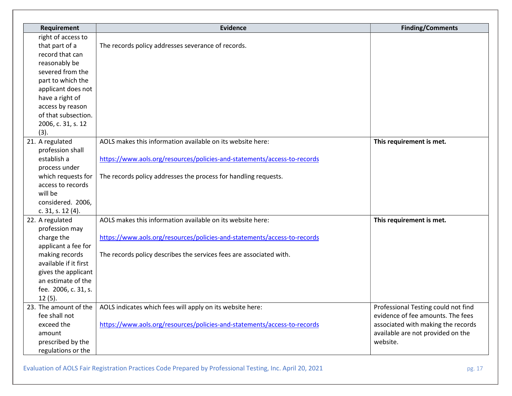| Requirement            | <b>Evidence</b>                                                          | <b>Finding/Comments</b>             |
|------------------------|--------------------------------------------------------------------------|-------------------------------------|
| right of access to     |                                                                          |                                     |
| that part of a         | The records policy addresses severance of records.                       |                                     |
| record that can        |                                                                          |                                     |
| reasonably be          |                                                                          |                                     |
| severed from the       |                                                                          |                                     |
| part to which the      |                                                                          |                                     |
| applicant does not     |                                                                          |                                     |
| have a right of        |                                                                          |                                     |
| access by reason       |                                                                          |                                     |
| of that subsection.    |                                                                          |                                     |
| 2006, c. 31, s. 12     |                                                                          |                                     |
| (3).                   |                                                                          |                                     |
| 21. A regulated        | AOLS makes this information available on its website here:               | This requirement is met.            |
| profession shall       |                                                                          |                                     |
| establish a            | https://www.aols.org/resources/policies-and-statements/access-to-records |                                     |
| process under          |                                                                          |                                     |
| which requests for     | The records policy addresses the process for handling requests.          |                                     |
| access to records      |                                                                          |                                     |
| will be                |                                                                          |                                     |
| considered. 2006,      |                                                                          |                                     |
| c. $31$ , s. $12(4)$ . |                                                                          |                                     |
| 22. A regulated        | AOLS makes this information available on its website here:               | This requirement is met.            |
| profession may         |                                                                          |                                     |
| charge the             | https://www.aols.org/resources/policies-and-statements/access-to-records |                                     |
| applicant a fee for    |                                                                          |                                     |
| making records         | The records policy describes the services fees are associated with.      |                                     |
| available if it first  |                                                                          |                                     |
| gives the applicant    |                                                                          |                                     |
| an estimate of the     |                                                                          |                                     |
| fee. 2006, c. 31, s.   |                                                                          |                                     |
| 12(5).                 |                                                                          |                                     |
| 23. The amount of the  | AOLS indicates which fees will apply on its website here:                | Professional Testing could not find |
| fee shall not          |                                                                          | evidence of fee amounts. The fees   |
| exceed the             | https://www.aols.org/resources/policies-and-statements/access-to-records | associated with making the records  |
| amount                 |                                                                          | available are not provided on the   |
| prescribed by the      |                                                                          | website.                            |
| regulations or the     |                                                                          |                                     |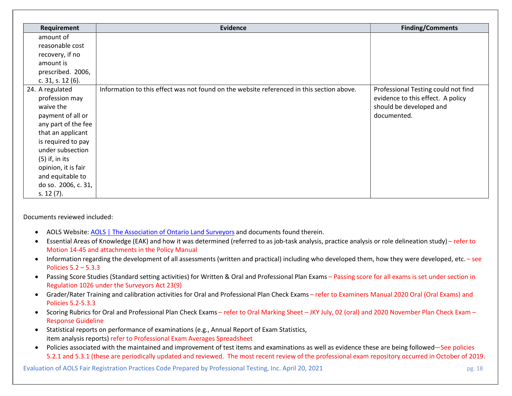| Requirement            | <b>Evidence</b>                                                                           | <b>Finding/Comments</b>             |
|------------------------|-------------------------------------------------------------------------------------------|-------------------------------------|
| amount of              |                                                                                           |                                     |
| reasonable cost        |                                                                                           |                                     |
| recovery, if no        |                                                                                           |                                     |
| amount is              |                                                                                           |                                     |
| prescribed. 2006,      |                                                                                           |                                     |
| c. $31$ , s. $12(6)$ . |                                                                                           |                                     |
| 24. A regulated        | Information to this effect was not found on the website referenced in this section above. | Professional Testing could not find |
| profession may         |                                                                                           | evidence to this effect. A policy   |
| waive the              |                                                                                           | should be developed and             |
| payment of all or      |                                                                                           | documented.                         |
| any part of the fee    |                                                                                           |                                     |
| that an applicant      |                                                                                           |                                     |
| is required to pay     |                                                                                           |                                     |
| under subsection       |                                                                                           |                                     |
| $(5)$ if, in its       |                                                                                           |                                     |
| opinion, it is fair    |                                                                                           |                                     |
| and equitable to       |                                                                                           |                                     |
| do so. 2006, c. 31,    |                                                                                           |                                     |
| s. $12(7)$ .           |                                                                                           |                                     |

Documents reviewed included:

- AOLS Website: AOLS | The Association of Ontario Land Surveyors and documents found therein.
- Essential Areas of Knowledge (EAK) and how it was determined (referred to as job-task analysis, practice analysis or role delineation study) refer to Motion 14-45 and attachments in the Policy Manual
- Information regarding the development of all assessments (written and practical) including who developed them, how they were developed, etc. see Policies 5.2 – 5.3.3
- Passing Score Studies (Standard setting activities) for Written & Oral and Professional Plan Exams Passing score for all exams is set under section in Regulation 1026 under the Surveyors Act 23(9)
- Grader/Rater Training and calibration activities for Oral and Professional Plan Check Exams refer to Examiners Manual 2020 Oral (Oral Exams) and Policies 5.2-5.3.3
- Scoring Rubrics for Oral and Professional Plan Check Exams refer to Oral Marking Sheet JKY July, 02 (oral) and 2020 November Plan Check Exam Response Guideline
- Statistical reports on performance of examinations (e.g., Annual Report of Exam Statistics, item analysis reports) refer to Professional Exam Averages Spreadsheet
- Policies associated with the maintained and improvement of test items and examinations as well as evidence these are being followed—See policies 5.2.1 and 5.3.1 (these are periodically updated and reviewed. The most recent review of the professional exam repository occurred in October of 2019.

Evaluation of AOLS Fair Registration Practices Code Prepared by Professional Testing, Inc. April 20, 2021 pg. 18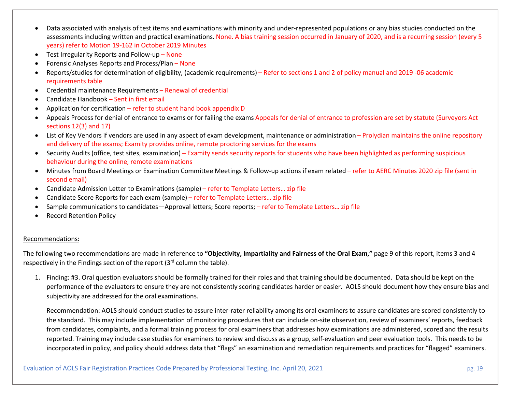- Data associated with analysis of test items and examinations with minority and under-represented populations or any bias studies conducted on the assessments including written and practical examinations. None. A bias training session occurred in January of 2020, and is a recurring session (every 5 years) refer to Motion 19-162 in October 2019 Minutes
- Test Irregularity Reports and Follow-up None
- Forensic Analyses Reports and Process/Plan None
- Reports/studies for determination of eligibility, (academic requirements) Refer to sections 1 and 2 of policy manual and 2019 -06 academic requirements table
- Credential maintenance Requirements Renewal of credential
- Candidate Handbook Sent in first email
- Application for certification refer to student hand book appendix D
- Appeals Process for denial of entrance to exams or for failing the exams Appeals for denial of entrance to profession are set by statute (Surveyors Act sections 12(3) and 17)
- List of Key Vendors if vendors are used in any aspect of exam development, maintenance or administration Prolydian maintains the online repository and delivery of the exams; Examity provides online, remote proctoring services for the exams
- Security Audits (office, test sites, examination) Examity sends security reports for students who have been highlighted as performing suspicious behaviour during the online, remote examinations
- Minutes from Board Meetings or Examination Committee Meetings & Follow-up actions if exam related refer to AERC Minutes 2020 zip file (sent in second email)
- Candidate Admission Letter to Examinations (sample) refer to Template Letters… zip file
- Candidate Score Reports for each exam (sample) refer to Template Letters… zip file
- Sample communications to candidates—Approval letters; Score reports; refer to Template Letters… zip file
- Record Retention Policy

## Recommendations:

The following two recommendations are made in reference to "Objectivity, Impartiality and Fairness of the Oral Exam," page 9 of this report, items 3 and 4 respectively in the Findings section of the report  $(3<sup>rd</sup>$  column the table).

1. Finding: #3. Oral question evaluators should be formally trained for their roles and that training should be documented. Data should be kept on the performance of the evaluators to ensure they are not consistently scoring candidates harder or easier. AOLS should document how they ensure bias and subjectivity are addressed for the oral examinations.

Recommendation: AOLS should conduct studies to assure inter-rater reliability among its oral examiners to assure candidates are scored consistently to the standard. This may include implementation of monitoring procedures that can include on-site observation, review of examiners' reports, feedback from candidates, complaints, and a formal training process for oral examiners that addresses how examinations are administered, scored and the results reported. Training may include case studies for examiners to review and discuss as a group, self-evaluation and peer evaluation tools. This needs to be incorporated in policy, and policy should address data that "flags" an examination and remediation requirements and practices for "flagged" examiners.